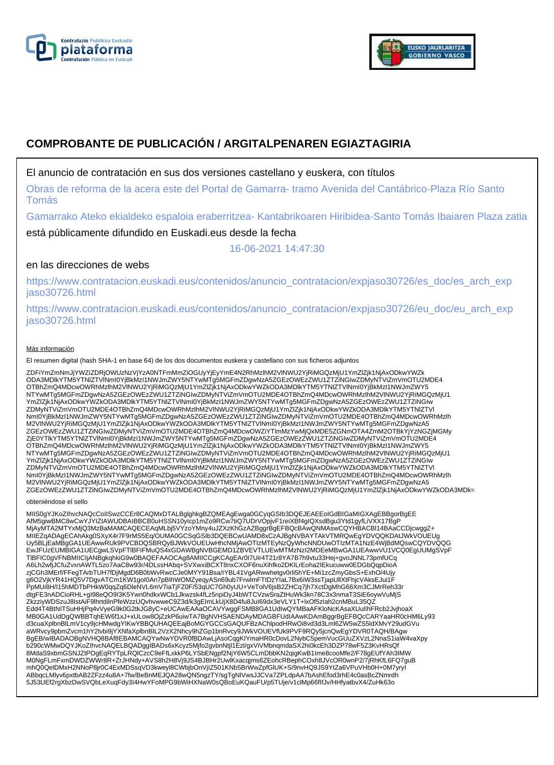



# **COMPROBANTE DE PUBLICACIÓN / ARGITALPENAREN EGIAZTAGIRIA**

# El anuncio de contratación en sus dos versiones castellano y euskera, con títulos

Obras de reforma de la acera este del Portal de Gamarra- tramo Avenida del Cantábrico-Plaza Río Santo Tomás

Gamarrako Ateko ekialdeko espaloia eraberritzea- Kantabrikoaren Hiribidea-Santo Tomás Ibaiaren Plaza zatia

está públicamente difundido en Euskadi.eus desde la fecha

16-06-2021 14:47:30

# en las direcciones de webs

https://www.contratacion.euskadi.eus/contenidos/anuncio\_contratacion/expjaso30726/es\_doc/es\_arch\_exp jaso30726.html

https://www.contratacion.euskadi.eus/contenidos/anuncio\_contratacion/expjaso30726/eu\_doc/eu\_arch\_exp jaso30726.html

#### Más información

El resumen digital (hash SHA-1 en base 64) de los dos documentos euskera y castellano con sus ficheros adjuntos

ZDFiYmZmNmJjYWZiZDRjOWUzNzVjYzA0NTFmMmZiOGUyYjEyYmE4N2RhMzlhM2VlNWU2YjRiMGQzMjU1YmZlZjk1NjAxODkwYWZk ODA3MDlkYTM5YTNlZTVlNmI0YjBkMzI1NWJmZWY5NTYwMTg5MGFmZDgwNzA5ZGEzOWEzZWU1ZTZiNGIwZDMyNTViZmVmOTU2MDE4 OTBhZmQ4MDcwOWRhMzlhM2VlNWU2YjRiMGQzMjU1YmZlZjk1NjAxODkwYWZkODA3MDlkYTM5YTNlZTVlNmI0YjBkMzI1NWJmZWY5 NTYwMTg5MGFmZDgwNzA5ZGEzOWEzZWU1ZTZiNGIwZDMyNTViZmVmOTU2MDE4OTBhZmQ4MDcwOWRhMzlhM2VlNWU2YjRiMGQzMjU1 YmZlZjk1NjAxODkwYWZkODA3MDlkYTM5YTNlZTVlNmI0YjBkMzI1NWJmZWY5NTYwMTg5MGFmZDgwNzA5ZGEzOWEzZWU1ZTZiNGIw ZDMyNTViZmVmOTU2MDE4OTBhZmQ4MDcwOWRhMzlhM2VINWU2YjRiMGQzMjU1YmZlZjk1NjAxODkwYWZkODA3MDIkYTM5YTNIZTVI<br>NmI0YjBkMzI1NWJmZWY5NTYwMTg5MGFmZDgwNzA5ZGEzOWEzZWU1ZTZiNGIwZDMyNTViZmVmOTU2MDE4OTBhZmQ4MDcwOWRhMzlh M2VlNWU2YjRiMGQzMjU1YmZlZjk1NjAxODkwYWZkODA3MDlkYTM5YTNlZTVlNmI0YjBkMzI1NWJmZWY5NTYwMTg5MGFmZDgwNzA5 ZGEzOWEzZWU1ZTZiNGIwZDMyNTViZmVmOTU2MDE4OTBhZmQ4MDcwOWZiYTlmMzYwMjQxMDE5ZGNmOTA4ZmM2OTBkYjYzNGZjMGMy ZjE0YTlkYTM5YTNlZTVlNmI0YjBkMzI1NWJmZWY5NTYwMTg5MGFmZDgwNzA5ZGEzOWEzZWU1ZTZiNGIwZDMyNTViZmVmOTU2MDE4 OTBhZmQ4MDcwOWRhMzlhM2VlNWU2YjRiMGQzMjU1YmZlZjk1NjAxODkwYWZkODA3MDlkYTM5YTNlZTVlNmI0YjBkMzI1NWJmZWY5 NTYwMTg5MGFmZDgwNzA5ZGEzOWEzZWU1ZTZiNGIwZDMyNTViZmVmOTU2MDE4OTBhZmQ4MDcwOWRhMzlhM2VlNWU2YjRiMGQzMjU1 YmZlZjk1NjAxODkwYWZkODA3MDlkYTM5YTNlZTVlNmI0YjBkMzI1NWJmZWY5NTYwMTg5MGFmZDgwNzA5ZGEzOWEzZWU1ZTZiNGIw ZDMyNTViZmVmOTU2MDE4OTBhZmQ4MDcwOWRhMzlhM2VINWU2YjRiMGQzMjU1YmZlZjk1NjAxODkwYWZkODA3MDIkYTM5YTNIZTVI<br>NmI0YjBkMzI1NWJmZWY5NTYwMTg5MGFmZDgwNzA5ZGEzOWEzZWU1ZTZiNGIwZDMyNTViZmVmOTU2MDE4OTBhZmQ4MDcwOWRhMzlh M2VlNWU2YjRiMGQzMjU1YmZlZjk1NjAxODkwYWZkODA3MDlkYTM5YTNlZTVlNmI0YjBkMzI1NWJmZWY5NTYwMTg5MGFmZDgwNzA5 ZGEzOWEzZWU1ZTZiNGIwZDMyNTViZmVmOTU2MDE4OTBhZmQ4MDcwOWRhMzlhM2VlNWU2YjRiMGQzMjU1YmZlZjk1NjAxODkwYWZkODA3MDk=

obteniéndose el sello

MIIS0gYJKoZIhvcNAQcCoIISwzCCEr8CAQMxDTALBglghkgBZQMEAgEwga0GCyqGSIb3DQEJEAEEoIGdBIGaMIGXAgEBBgorBgEE AfM5giwBMC8wCwYJYIZIAWUDBAIBBCB0uHSSN10yIcp1mZo9RCw7tiQ7UDrVOpjvF1reiXBf4gIQXsdBgu3Ytd1gyfLiVXX17BgP<br>MjAyMTA2MTYxMjQ3MzBaMAMCAQECEAqMLbj5VYzoYMny4uJZXzKhGzAZBggrBgEFBQcBAwQNMAswCQYHBACBI14BAaCCDjcwggZ+ MIIEZqADAgECAhAkg0SXyX4r7F9rMS5Eq/OUMA0GCSqGSIb3DQEBCwUAMD8xCzAJBgNVBAYTAkVTMRQwEgYDVQQKDAtJWkVOUEUg Uy5BLjEaMBgGA1UEAwwRUk9PVCBDQSBRQyBJWkVOUEUwHhcNMjAwOTIzMTEyNzQyWhcNNDUwOTIzMTA1NzE4WjBdMQswCQYDVQQG EwJFUzEUMBIGA1UECgwLSVpFTlBFIFMuQS4xGDAWBgNVBGEMD1ZBVEVTLUEwMTMzNzI2MDEeMBwGA1UEAwwVU1VCQ0EgUUMgSVpF TlBFIC0gVFNBMIICIjANBgkqhkiG9w0BAQEFAAOCAg8AMIICCgKCAgEAr0I7Uir4T21r8YA7B7h9vtu33Hej+gvoJNNL73pmfUCq A6Lh2wfjJCfuZvxnAWTL5zo7AaC8w93r/4DLssHAbq+SVXwxiBCXT8nxCXOF6nuXihfko2DKlLrEoha2IEkucuww0EDGbQqpDioA<br>zjCGh3MErf/FFegTArbTUH7fDjMgdD6B0bWvRwcCJe0MYY91Bsa/IYBL41VgARwwhetgv0rli5hYE+Mi1zcZmyGbsS+ExhO/4Ujy g6O2VjkYR41HQ5V7DgvATCm1KW1goI0An7pBIhWOMZyeqyASn69ub7FrwlmFTtDzYIaL7Bx6iW3ssTjapUllXtFhjcVAksEJui1F<br>PpMUi8H/I15hMDTbPHkW0qqZq6DleNVL6mV7iaTjFZ0F/53qUC7Gh0yUU+VeTolV6jsB2ZHCq7jh7XctDgMhG66Xm3CJMrReh33r dtgFE3nADCioRHL+gI98eQO9I3K5Ywn0hdkxWCb1Jkwzsk4fLz5npiDyJ4bWTCVzwSraZtHuWk3kn78C3x3nmaT3SiE6oywVuMjS ZkzziyWDSzuJ8IstAiF9lhrtdilnPfeWzzUQvhvwweC9Z3d/k3gEImLkUjX8D4fu8JuI69dx3eVLY1T+lxOf5zIah2cnMBuL35QZ Edd4T4BtNITSuHHjPq4vVyeG9k0G2tkJG8yC+eUCAwEAAaOCAVYwggFSMB8GA1UdIwQYMBaAFKloNcKAsaXUulIhFRcb2JvjhoaX<br>MB0GA1UdDgQWBBTqhEW6f1xJ+xULow8OjZzkP6uiwTA7BgNVHSAENDAyMDAGBFUdIAAwKDAmBggrBgEFBQcCARYaaHR0cHM6Ly93 d3cuaXplbnBlLmV1cy9jcHMwdgYIKwYBBQUHAQEEajBoMGYGCCsGAQUFBzAChlpodHRwOi8vd3d3Lml6ZW5wZS5ldXMvY29udGVu<br>aWRvcy9pbmZvcm1hY2lvbi9jYXNfaXplbnBlL2VzX2Nhcy9hZGp1bnRvcy9JWkVOUEVfUk9PVF9RQy5jcnQwEgYDVR0TAQH/BAgw BgEB/wIBADAOBgNVHQ8BAf8EBAMCAQYwNwYDVR0fBDAwLjAsoCqgKIYmaHR0cDovL2NybC5pemVucGUuZXVzL2NnaS1iaW4vaXpy<br>b290cWMwDQYJKoZIhvcNAQELBQADggIBADs6xKcyz5Mjfo2gvbnNtjl1Ezl/gxViVMbnqmdaSX2hi0kcEh3DZP78wF5Z3KvHRsQf 8MdaS9xbmGSNJZtPOgEqRYTpLRQlCzcC9eFfLxkkP6LYSbENgpf2NjY6W5CLmDbbKN2qigKwB1Ime8cooMfe2/F78gEUfYAh3IMW M0NgFLmFxmDWDZWWr8R+ZrJHNdy+AVS8h2H8Vj9JS4BJBHr2UwlKxacqjms6ZEohcRBephCOxh8JVcOR0wnP2/7jRhKfL6FQ7guB mhQ0QelDMxH2NNoP8jr0C4ExMDSsqVD3kweyl8CWbjbOnVjIZ501KNb5BrWwZpfGlUK+S/9nvHQ9JS9YtZa6VPuVHb0H+0M7yryI ABbqcLMlyv6pxtbAB2ZFzz4u8A+7fw/BeBnMEJQA28wQN5ngzTY/sgTgNlVwsJJCVa7ZPLdpAA7bAshEfod3rhE4c0asBcZNmrdh 5J53UEf2rgXbzDwSVQbLeXuqFdy3I4HwYFoMPG9bWiHXNaW0sQBoEuKQauFU/p5TUje/v1clMp66fIfJv/HHfyatbvX4/ZuHk63o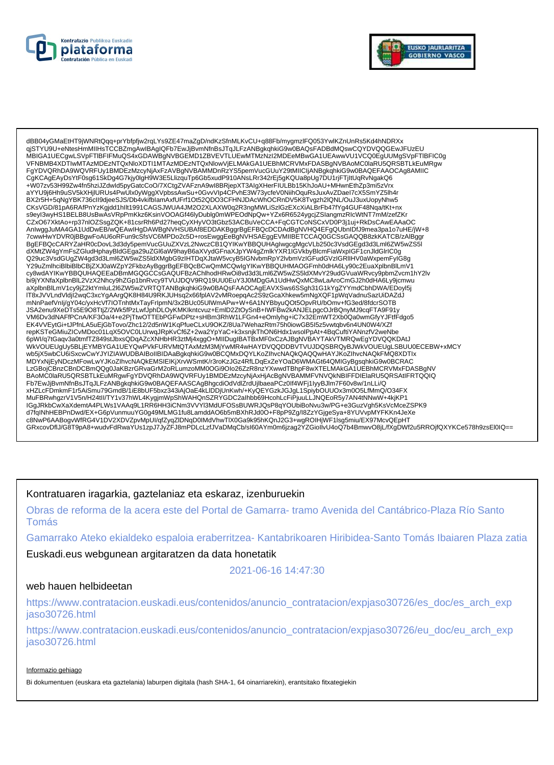



dBB04yGMaEtHT9jWNRtQqq+prYbfpfjw2rqLYs9ZE47maZgD/ndKzSfnMLKvCU+q88Fb/mygmzlFQ053YwlKZnUnRs5Kd4hNDRXx<br>qjSTYU9U+eNtesHmMIIHsTCCBZmgAwIBAgIQFb7EwJjBvmNfnBsJTqJLFzANBgkqhkiG9w0BAQsFADBdMQswCQYDVQQGEwJFUzEU MBIGA1UECgwLSVpFTIBFIFMuQS4xGDAWBgNVBGEMD1ZBVEVTLUEwMTMzNzI2MDEeMBwGA1UEAwwVU1VCQ0EgUUMgSVpFTIBFIC0g VFNBMB4XDTIwMTAzMDEzNTQxNloXDTI1MTAzMDEzNTQxNlowVjELMAkGA1UEBhMCRVMxFDASBgNVBAoMC0laRU5QRSBTLKEuMRgw FgYDVQRhDA9WQVRFUy1BMDEzMzcyNjAxFzAVBgNVBAMMDnRzYS5pemVucGUuY29tMIICIjANBgkqhkiG9w0BAQEFAAOCAg8AMIIC CgKCAgEAyDsYtF0sg61SkDg4G7kjy0lgH9W3E5LlizquTp6Gb5xudP910ANsLRr342rEj5gKQUa8pUg7DU1rjFTjItUqRvNgakQ6 +W07zv53H99Zw4fn5hziJZdwld5pyGatcCoO/7XCtgZVAFznA9wI8BRjepXT3AlgXHerFIULBb15KhJoAU+MHwnEthZp3ml5zVrx<br>aYYU9j6Hh9uSV5kXHjIURUs4PwUlx0yWggXVpbssAwSu+0GvvVIp4CPvhE3W73ycfeV0NiihOquRsJuxAvZDaeI7cX5SmYZ5lh4r ar Tugginingus vukni jiunvastr wukwywydyn y postawaroddwr yr yr Unit yw Dynastry Digital Children Ward Digital<br>BX2r5H+5qNgYBK736cll9djeeSJS/Db4vkifblamAxfUFrf1Ot52QDO3CFHNJDAcWhOCRnDV5K8Tvgzh2lQNL/OuJ3uxUopyNhw5<br>CKsVGD/81p s9eyl3wyHS1BELB8UsBwAsVRpPmKkz6KsinVOOAGf46lyDublg0mWPEOdNpQw+YZx6R6524ygcjZSlangmzRlcWtNT7mM/zefZKr CZxO67XktAo+rp37nlOZSsgZQK+81csrRh6Pd27heqCyXHyVO3tGbz53ACBuVeCCA+FqCGTCoNSCxVD0P3j1uj+RkDsCAwEAAaOC AnlwggJuMA4GA1UdDwEB/wQEAwIHgDAWBgNVHSUBAf8EDDAKBggrBgEFBQcDCDAdBgNVHQ4EFgQUbnIDfJ9mea3pa1o7uHE/jW+8 7cwwHwYDVR0jBBgwFoAU6oRFun9cŠfsVC6MPDo2c5D+rosEwggEeBgNVHSAEggEVMIIBETCCAQ0GCSsGAQQB8zkKATCB/zAlBggr BgEFBQcCARYZaHR0cDovL3d3dy5pemVucGUuZXVzL2NwczCB1QYIKwYBBQUHAglwgcgMgcVLb250c3VsdGEgd3d3Lml6ZW5wZS5I exercive the school of the school of the school of the school of the school of the school of the school of the<br>AMEZW4gYmFsZGludHphayBldGEga29uZGl6aW9hayB6aXVydGFnaXJpYW4gZmlkYXR1IGVkbyBlcmFiaWxplGF1cnJldGlrIC0g<br>29uc3VsdGUg cy8wdAYIKwYBBQUHAQEEaDBmMGQGCCsGAQUFBzAChlhodHRwOi8vd3d3Lml6ZW5wZS5ldXMvY29udGVuaWRvcy9pbmZvcm1hY2lv bi9jYXNfaXplbnBlL2VzX2Nhcy9hZGp1bnRvcy9TVUJDQV9RQ19UU0EuY3J0MDgGA1UdHwQxMC8wLaAroCmGJ2h0dHA6Ly9jcmwu aXplbnBlLmV1cy9jZ2ktYmluL2l6ZW5wZVRTQTANBgkqhkiG9w0BAQsFAAOCAgEAVXSws6SSgh31G1kYgZYYmdCbhDWA/EDoyl5j IT8xJVVLndVldjI2wqC3xcYgAArgQK8H84U9RKJUHsq2x66fplAV2vMRoepqAc2S9zGcaXhkew5mNgXQF1pWqVadnuSazUiDAZd. mNnPaefVnIj/gY04c/yxHcVf7IOTnhtMxTayFrIpmN/3x2BUc05UIWmAPw+W+6A1NYBbyuQOt5OpvRU/bOmv+fG3ed/8fdcrSOTB<br>JSA2enu9XeDTs5E9O8TtjZ/2Wk5fPzLwfJphDLOyKMKIkntcvuz+EmID2ZtOySnB+IWFBw2kANJELpgcOJrBQnyMJ9cqFTA9F91y repKSTeGMiuZICvMDoc01LqX5OVC0LUrwqJRpKvCf6Z+2wa2YpYaC+k3xsnjkThON6Hdx1wsolPpAt+4BqCuftiYANnzfV2weNbe 6pWl/q7tGaqv3a0tmfTZ849stJbxsQDqAZcXNHbHR3ztMj4xggO+MIIDugIBATBxMF0xCzAJBgNVBAYTAkVTMRQwEgYDVQQKDAtJ WKVOUEUgUy5BLJEYMBYGA1UEYQwPVkFURVMtQTAxMzM3MjYwMR4wHAYDVQQDDBVTVUJDQSBRQyBJWKVOUEUgLSBUU0ECEBW+xMCY wb5jX5wbCU6iSxcwCwYJYIZIAWUDBAIBoIIBIDAaBgkqhkiG9w0BCQMxDQYLKoZIhvcNAQkQAQQwHAYJKoZIhvcNAQkFMQ8XDTlx MDYxNjEyNDczMFowLwYJKoZIhvcNAQkEMSIEIKjXrvWSmtK/r3roKzJGz4RfLDqExZeYOaD6WMAGt64QMIGyBgsqhkiG9w0BCRAC LzGBojCBnzCBnDCBmQQg0JaKBzrGRvaGrM2oRLumzoMM0OGi9Olo26ZzR8nzYXwwdTBhpF8wXTELMAkGA1UEBhMCRVMxFDASBgNV xHZLcFDmkmF1r5AiSmu79GmdB/1iE8bUF5bxz343iAjOaE4KLIDDjUnKwh/+KyQEYGzkJGJgL1SpiybOUUOx3m0O5LfMmQ/O34FX MuFBRwhgzrV1V5n/H24tll/TY1v37hWL4KygjmWpShWAHQnSZRYGDC2alhbb69HcohLcFiPjuuLLJNQEoR5y7AN4tNNwW+4kjKP1 IGgJRkbCwXaXdemtA4PLWs1VAAq9L1RR6HH3iCNm3VVYl3MdUFOSsBUWRJQsP8qYOUbiBoNvu3w/PG+e3GuzVgh5KsVcMceZSPK9 d7fqlNhHEBPnDwd/EX+G6pVunmuuYG0g49MLMG1fu8LamddAO6b5mBXhRJd0O+F8pP9Zg/l8ZzYGjgeSya+8YUVvpMYFKKn4JeXe CONNEGABOOW/IRG4V1DV2XDVZpvMpU/qfZyqZIDNqD0IMdVhwTIX0Ga9k95hKQnJ2G3+wgROIHjWF1lsg5miu/EX97McvQEpHT<br>GRxcovDflJ/G8T9pA8+wudvFdRwaYUs1zpJ7JyZFJ8mPDLcLzfJVaDMqCb/sI60AYm0m6jzag2YZGioIlvU4oQ7b4BmwvO8jL/fXgDWf2u5RROjfQXYKCe578h9

# Kontratuaren iragarkia, gaztelaniaz eta eskaraz, izenburuekin

Obras de reforma de la acera este del Portal de Gamarra-tramo Avenida del Cantábrico-Plaza Río Santo Tomás

Gamarrako Ateko ekialdeko espaloia eraberritzea- Kantabrikoaren Hiribidea-Santo Tomás Ibaiaren Plaza zatia

Euskadi.eus webgunean argitaratzen da data honetatik

2021-06-16 14:47:30

#### web hauen helbideetan

https://www.contratacion.euskadi.eus/contenidos/anuncio\_contratacion/expjaso30726/es\_doc/es\_arch\_exp iaso30726.html

https://www.contratacion.euskadi.eus/contenidos/anuncio contratacion/expjaso30726/eu doc/eu arch exp jaso30726.html

#### Informazio gehiago

Bi dokumentuen (euskara eta gaztelania) laburpen digitala (hash SHA-1, 64 oinarriarekin), erantsitako fitxategiekin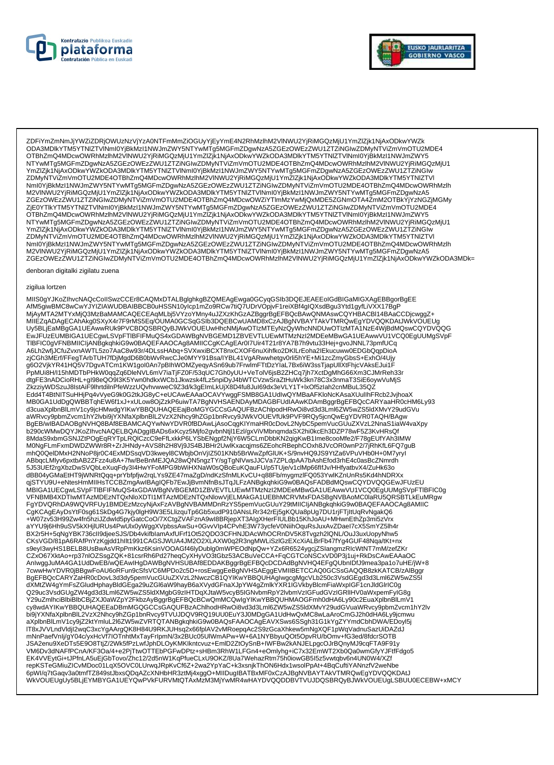



ZDFiYmZmNmJjYWZiZDRjOWUzNzVjYzA0NTFmMmZiOGUyYjEyYmE4N2RhMzIhM2VINWU2YjRiMGQzMjU1YmZlZjk1NjAxODkwYWZk<br>ODA3MDIkYTM5YTNIZTVINmI0YjBkMzI1NWJmZWY5NTYwMTg5MGFmZDgwNzA5ZGEzOWEzZWU1ZTZiNGIwZDMyNTViZmVmOTU2MDE4 OTBhZmQ4MDcwOWRhMzIhM2VINWU2YjRiMGQzMjU1YmZlZjk1NjAxODkwYWZkODA3MDlkYTM5YTNlZTVINml0YjBkMzl1NWJmZWY5 NTYwMTg5MGFmZDgwNzA5ZGEzOWEzZWU1ZTZINGIwZDMyNTViZmVmOTU2MDE4OTBhZmQ4MDcwOWRhMzInM2VINWU2YjRiMGQzMjU1 YmZlZjk1NjAxODkwYWZkODA3MDlkYTM5YTNlZTVlNml0YjBkMzl1NWJmZWY5NTYwMTg5MGFmZDgwNzA5ZGEzOWEzZWU1ZTZiNGlw ZDMyNTViZmVmOTU2MDE4OTBhZmQ4MDcwOWRhMzlhM2VINWU2YjRiMGQzMjU1YmZlZjk1NjAxODkwYWZkODA3MDlkYTM5YTNIZTVI Nml0YjBkMzI1NWJmZWY5NTYwMTg5MGFmZDgwNzA5ZGEzOWEzZWU1ZTZiNGlwZDMyNTViZmVmOTU2MDE4OTBhZmQ4MDcwOWRhMzlh<br>M2VINWU2YjRiMGQzMjU1YmZlZjk1NjAxODkwYWZkODA3MDlkYTM5YTNIZTVINml0YjBkMzI1NWJmZWY5NTYwMTg5MGFmZDgwNzA5 ZGEzOWEzZWU1ZTZINGIwZDMyNTViZmVmOTU2MDE4OTBhZmQ4MDcwOWZiYTImMzYwMjQxMDE5ZGNmOTA4ZmM2OTBkYjYzNGZjMGMy ZIEOYTIKYTMSYTNIZTVINmI0YiBkMzI1NWJmZWY5NTYwMTq5MGFmZDqwNzA5ZGEzQWEzZWU1ZTZiNGIwZDMyNTViZmVmOTU2MDE4 OTBhZmQ4MDcwOWRhMzlhM2VINWU2YjRiMGQzMjU1YmZlZjk1NjAxODkwYWZkODA3MDlkYTM5YTNIZTVINmI0YjBkMzI1NWJmZWY5 NTYwMTg5MGFmZDgwNzA5ZGEzOWEzZWU1ZTZINGIwZDMyNTViZmVmOTU2MDE4OTBhZmQ4MDcwOWRhMzInM2VINWU2YjRiMGQzMjU1 YmZlZjk1NjAxODkwYWZkODA3MDlkYTM5YTNlZTVlNml0YjBkMzl1NWJmZWY5NTYwMTg5MGFmZDgwNzA5ZGEzOWEzZWU1ZTZiNGlw ZDMyNTViZmVmOTU2MDE4OTBhZmQ4MDcwOWRhMzlhM2VINWU2YjRiMGQzMjU1YmZlZjk1NjAxODkwYWZkODA3MDlkYTM5YTNIZTVI Nml0YjBkMzl1NWJmZWY5NTYwMTg5MGFmZDgwNzA5ZGEzOWEzZWU1ZTZiNGlwZDMyNTViZmVmOTU2MDE4OTBhZmQ4MDcwOWRhMzlh<br>M2VINWU2YjRiMGQzMjU1YmZlZjk1NjAxODkwYWZkODA3MDlkYTM5YTNlZTVlNml0YjBkMzl1NWJmZWY5NTYwMTg5MGFmZDgwNzA5 ZGEzOWEzZWU1ZTZINGIwZDMyNTViZmVmOTU2MDE4OTBhZmQ4MDcwOWRhMzlhM2VINWU2YjRiMGQzMjU1YmZIZjk1NjAxODkwYWZkODA3MDk=

denboran digitalki zigilatu zuena

#### zigilua lortzen

MIIS0gYJKoZIhvcNAQcCoIISwzCCEr8CAQMxDTALBglghkgBZQMEAgEwga0GCyqGSIb3DQEJEAEEoIGdBIGaMIGXAgEBBgorBgEE<br>AfM5giwBMC8wCwYJYIZIAWUDBAIBBCB0uHSSN10yIcp1mZo9RCw7tiQ7UDrVOpjvF1reiXBf4gIQXsdBgu3Ytd1gyfLiVXX17BgP<br>MjAyMTA2MTYxMjQ3MzBa MIIEZqADAgECAnAkg0SXyX4r7F9rMS5Eq/OUMA0GCSqGSIb3DQEBCwUAMD8xCZAJBgNVBAYTAkVTMRQwEgYDVQQKDAtJWKVOUEUg Uy5BLjEaMBgGA1UEAwwRUk9PVCBDQSBRQyBJWkVOUEUwHhcNMjAwOTIzMTEyNzQyWhcNNDUwOTIzMTA1NzE4WjBdMQswCQYDVQQG EwJFUzEUMBIGA1UECgwLSVpFTIBFIFMuQS4xGDAWBgNVBGEMD1ZBVEVTLUEwMTMzNzI2MDEeMBwGA1UEAwwVU1VCQ0EgUUMgSVpF TIBFIC0gVFNBMIICIjANBgkqhkiG9w0BAQEFAAOCAg8AMIICCgKCAgEAr0I7Uir4T21r8YA7B7h9vtu33Hej+gvoJNNL73pmfUCq - AGLh2wfjJCfuZvxnAWTL5zo7AaC8w93r/4DLsSHAbq+SVXwxiBCXT8nxCXOF6nuXihfko2DKILrEoha2IEkucuww0EDGbQqpDioA<br>ZjCGh3MErf/FFegTArbTUH7fDjMgdD6B0bWvRwcCJe0MYY91Bsa/IYBL41VgARwwhetgv0rli5hYE+Mi1zcZmyGbsS+ExhO/4Ujy dtgFE3nADCioRHL+gl98eQO9I3K5Ywn0hdkxWCb1Jkwzsk4fLz5npiDyJ4bWTCVzwSraZtHuWk3kn78C3x3nmaT3SiE6oywVuMjS ZkzziyWDSzuJ8IstAiF9lhrtdilnPfeWzzUQvhvwweC9Z3d/k3gEImLkUjX8D4fu8JuI69dx3eVLY1T+lxOf5zlah2cnMBuL35QZ Edd4T4BtNITSuHHjPq4vVyeG9k0G2tkJG8yC+eUCAwEAAaOCAVYwggFSMB8GA1UdlwQYMBaAFKloNcKAsaXUullhFRcb2JvjhoaX<br>MB0GA1UdDgQWBBTqhEW6f1xJ+xULow8OjZzkP6uiwTA7BgNVHSAENDAyMDAGBFUdIAAwKDAmBggrBgEFBQcCARYaaHR0cHM6Ly93 awww.younia.com/http://www.younia.com/https://www.younia.com/https://www.younia.com/https://www.younia.com/https://www.younia.com/https://www.younia.com/https://www.younia.com/https://www.younia.com/https://www.younia.com/ 8MdaS9xbmGSNJZtPOgEqRYTpLRQICzcC9eFfLxkkP6LYSbENgpf2NjY6W5CLmDbbKN2qigKwB1Ime8cooMfe2/F78gEUfYAh3lMW M0NgFLmFxmDWDZWWr8R+ZrJHNdy+AVS8h2H8Vj9JS4BJBHr2UwlKxacqjms6ZEohcRBephCOxh8JVcOR0wnP2/7jRhKfL6FQ7guB mhQ0QeIDMxH2NNoP8jr0C4ExMDSsqVD3kweyl8CWbjbOnVjIZ501KNb5BrWwZpfGIUK+S/9nvHQ9JS9YtZa6VPuVHb0H+0M7yryl ABbqcLMIyv6pxtbAB2ZFzz4u8A+7fw/BeBnMEJQA28wQN5ngzTY/sgTgNIVwsJJCVa7ZPLdpAA7bAshEfod3rhE4c0asBcZNmrdh 5J53UEf2rgXbzDwSVQbLeXuqFdy3I4HwYFoMPG9bWiHXNaW0sQBoEuKQauFU/p5TUje/v1clMp66flfJv/HHfyatbvX4/ZuHk63o dBB04yGMaEtHT9jWNRtQqq+prYbfpfjw2rqLYs9ZE47maZgD/ndKzSfnMLKvCU+q88Fb/mygmzlFQ053YwlKZnUnRs5Kd4hNDRXx q;stryU9U+eNtesHmMIIHsTCCBZmgAwIBAgIQFb7EwJjBvmNfnBsJTqJLFzANBgkqhkiG9w0BAQsFADBdMQswCQYDVQQGEwJFUzEU<br>MBIGA1UECgwLSVpFTIBFIFMuQS4xGDAWBgNVBGEMD1ZBVEVTLUEwMTMzNzI2MDEeMBwGA1UEAwwVU1VCQ0EgUUMgSVpFTIBFIC0g VFNBMB4XDTIwMTAzMDEzNTQxNloXDTI1MTAzMDEzNTQxNlowVjELMAkGA1UEBhMCRVMxFDASBgNVBAoMC0laRU5QRSBTLKEuMRgw FgYDVQRhDA9WQVRFUy1BMDEzMzcyNjAxFzAVBgNVBAMMDnRzYS5pemVucGUuY29tMIICIjANBgkqhkiG9w0BAQEFAAOCAg8AMIIC CgKCAgEAyDsYtF0sg61SkDg4G7kjy0lgH9W3E5LlizquTp6Gb5xudP910ANsLRr342rEj5gKQUa8pUg7DU1rjFTjltUqRvNgakQ6 +W07zv53H99Zw4fn5hziJZdwId5pyGatcCoO/7XCtgZVAFznA9wI8BRjepXT3AlgXHerFIULBb15KhJoAU+MHwnEthZp3mi5zVrx + www.zvssns9zw+insinz.axwiid=up=yoatic.wii/axate=up=yoatic.axiy/insing=up=yoatic.axiy/3ycfeV0NiihOquRsJuxAvZDaeI7cX5SmYZ5lh4r+<br>http://www.zvscnsps.axiy/insing=up=yoatic.axiy/insing=up=yoatic.axiy/3ycfeV0NiihOquRsJuxAvZD CKsVGD/81pA6RAfPnYzKgjdd1hllt1991CAGSJWUA4JM2O2XLAXW0q2R3ngMWLiSzlGzEXcXiALBrFb47fYq4GUF48Nqa/tKt+nx s9eyl3wyHS1BELB8UsBwAsVRpPmKkz6KsinVOOAGf46lyDublg0mWPEOdNpQw+YZx6R6524ygcjZSlangmzRlcWtNT7mM/zefZKr CZxO67XktAo+rp37nlOZSsgZQK+81csrRh6Pd27heqCyXHyVO3tGbz53ACBuVeCCA+FqCGTCoNSCxVD0P3j1uj+RkDsCAwEAAaOC AnlwggJuMA4GA1UdDwEB/wQEAwIHgDAWBgNVHSUBAf8EDDAKBggrBgEFBQcDCDAdBgNVHQ4EFgQUbnIDfJ9mea3pa1o7uHE/jW+8 7cwwHwYDVR0jBBgwFoAU6oRFun9cSfsVC6MPDo2c5D+rosEwggEeBgNVHSAEggEVMIIBETCCAQ0GCSsGAQQB8zkKATCB/zAlBggr<br>BgEFBQcCARYZaHR0cDovL3d3dy5pemVucGUuZXVzL2NwczCB1QYIKwYBBQUHAglwgcgMgcVLb250c3VsdGEgd3d3Lml6ZW5wZS5I ayar.com/www.accom/www.accom/www.accom/www.accom/www.accom/www.accom/www.accom/www.accom/www.accom/www.accom/w<br>http://www.accom/www.accom/www.accom/www.accom/www.accom/www.accom/www.accom/www.accom/www.accom/www.accom/www<br> bi9jYXNfaXplbnBlL2VzX2Nhcy9hZGp1bnRvcy9TVUJDQV9RQ19UU0EuY3J0MDgGA1UdHwQxMC8wLaAroCmGJ2h0dHA6Ly9jcmwu aXplbnBlLmV1cy9jZ2ktYmluL2l6ZW5wZVRTQTANBgkqhkiG9w0BAQsFAAOCAgEAVXSws6SSgh31G1kYgZYYmdCbhDWA/EDoyl5j ure.com/inductions/commuter/inductions/commuter/inductions/commuter/inductions/commuter/inductions/commuter/inductions/commuter/inductions/commuter/inductions/commuter/inductions/commuter/inductions/commuter/inductions/com EK4VVEytGi+tJPfnLA5uEjGbTovo/Zhc12/2d5nW1KqPfueCLxU9OKZ/8Ua7WehazRtm75h0iowGB5I5z5vwtqbv6n4UN0W4/XZf repKSTeGMiuZICvMDoc01LqX5OVC0LUrwqJRpKvCf6Z+2wa2YpYaC+k3xsnjkThON6Hdx1wsolPpAt+4BqCuftiYANnzfV2weNbe 6pWl/q7tGaqv3a0tmfTZ849stJbxsQDqAZcXNHbHR3ztMj4xggO+MIIDugIBATBxMF0xCzAJBgNVBAYTAkVTMRQwEgYDVQQKDAtJ WKVOUEUgUy5BLJEYMBYGA1UEYQwPVkFURVMtQTAxMzM3MjYwMR4wHAYDVQQDDBVTVUJDQSBRQyBJWkVOUEUgLSBUU0ECEBW+xMCY